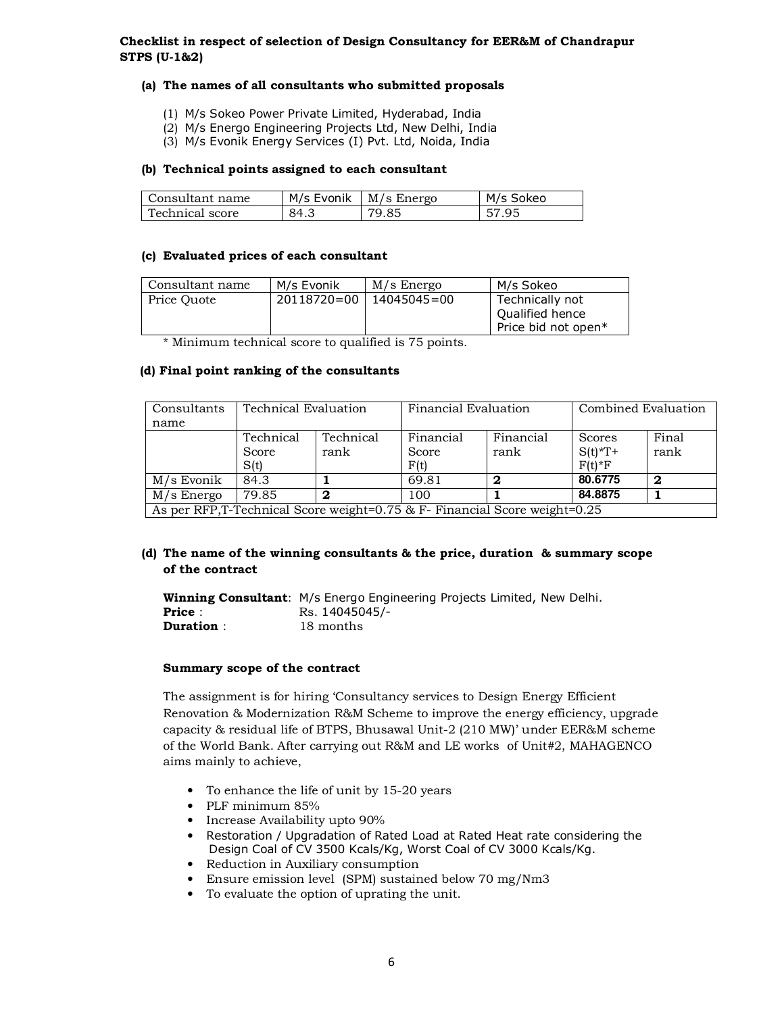# **Checklist in respect of selection of Design Consultancy for EER&M of Chandrapur STPS (U-1&2)**

### **(a) The names of all consultants who submitted proposals**

- (1) M/s Sokeo Power Private Limited, Hyderabad, India
- (2) M/s Energo Engineering Projects Ltd, New Delhi, India
- (3) M/s Evonik Energy Services (I) Pvt. Ltd, Noida, India

#### **(b) Technical points assigned to each consultant**

| Consultant name | M/s Evonik | M/s Energo | M/s Sokeo |
|-----------------|------------|------------|-----------|
| Technical score | 84.3       | 79.85      | 57.95     |

#### **(c) Evaluated prices of each consultant**

| Consultant name | M/s Evonik  | M/s Energo  | M/s Sokeo                                                 |
|-----------------|-------------|-------------|-----------------------------------------------------------|
| Price Ouote     | 20118720=00 | 14045045=00 | Technically not<br>Qualified hence<br>Price bid not open* |

\* Minimum technical score to qualified is 75 points.

## **(d) Final point ranking of the consultants**

| Consultants                                                                | Technical Evaluation |           | Financial Evaluation |           | Combined Evaluation |       |
|----------------------------------------------------------------------------|----------------------|-----------|----------------------|-----------|---------------------|-------|
| name                                                                       |                      |           |                      |           |                     |       |
|                                                                            | Technical            | Technical | Financial            | Financial | Scores              | Final |
|                                                                            | Score                | rank      | Score                | rank      | $S(t)$ *T+          | rank  |
|                                                                            | S(t)                 |           | F(t)                 |           | $F(t)*F$            |       |
| M/s Evonik                                                                 | 84.3                 |           | 69.81                | 2         | 80.6775             | 2     |
| M/s Energo                                                                 | 79.85                | 2         | 100                  |           | 84.8875             |       |
| As per RFP, T-Technical Score weight=0.75 & F- Financial Score weight=0.25 |                      |           |                      |           |                     |       |

# **(d) The name of the winning consultants & the price, duration & summary scope of the contract**

**Winning Consultant**: M/s Energo Engineering Projects Limited, New Delhi. **Price :** Rs. 14045045/-<br> **Duration :** 18 months **Duration** : 18 months

#### **Summary scope of the contract**

The assignment is for hiring 'Consultancy services to Design Energy Efficient Renovation & Modernization R&M Scheme to improve the energy efficiency, upgrade capacity & residual life of BTPS, Bhusawal Unit-2 (210 MW)' under EER&M scheme of the World Bank. After carrying out R&M and LE works of Unit#2, MAHAGENCO aims mainly to achieve,

- To enhance the life of unit by 15-20 years
- PLF minimum 85%
- Increase Availability upto 90%
- Restoration / Upgradation of Rated Load at Rated Heat rate considering the Design Coal of CV 3500 Kcals/Kg, Worst Coal of CV 3000 Kcals/Kg.
- Reduction in Auxiliary consumption
- Ensure emission level (SPM) sustained below 70 mg/Nm3
- To evaluate the option of uprating the unit.